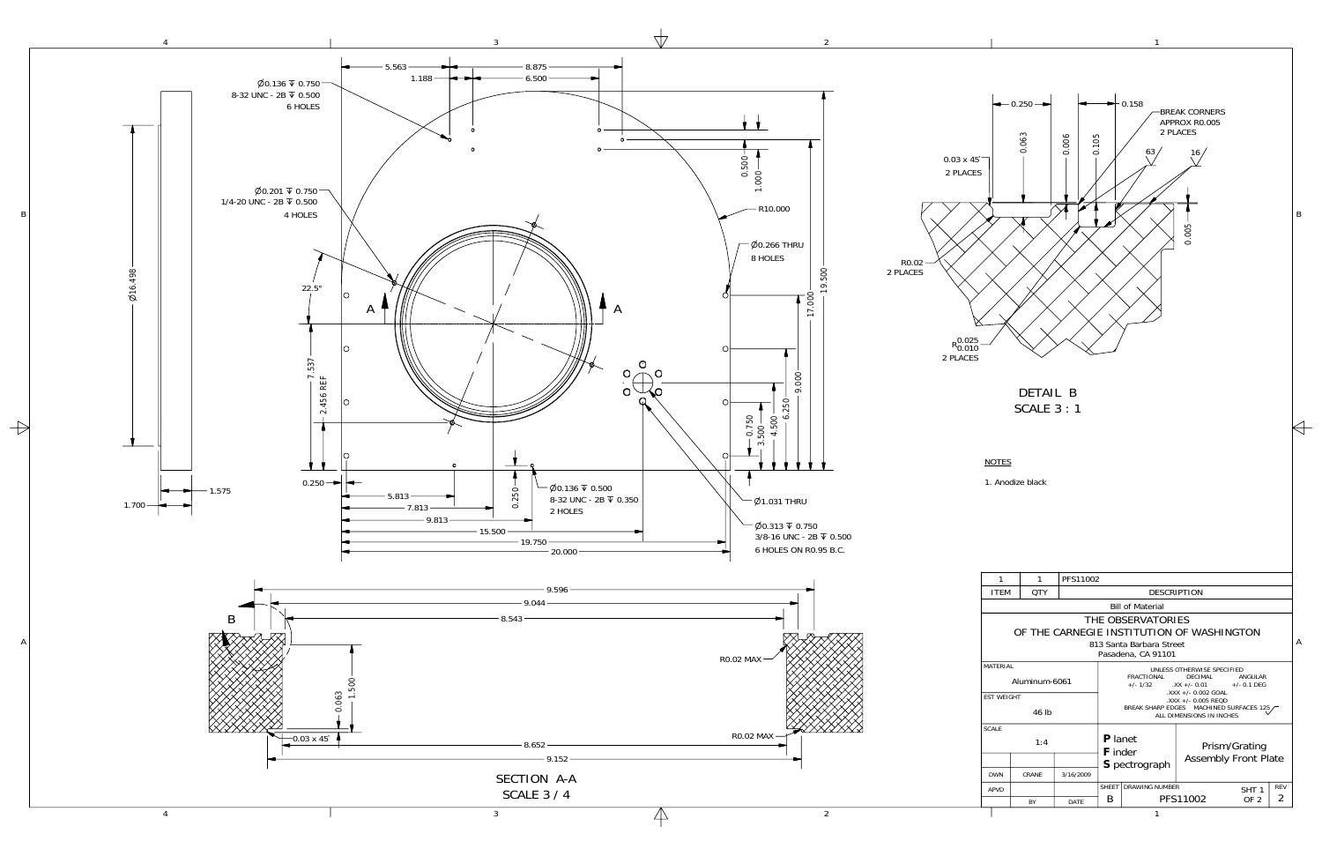

A

 $\rightarrow$ 

B